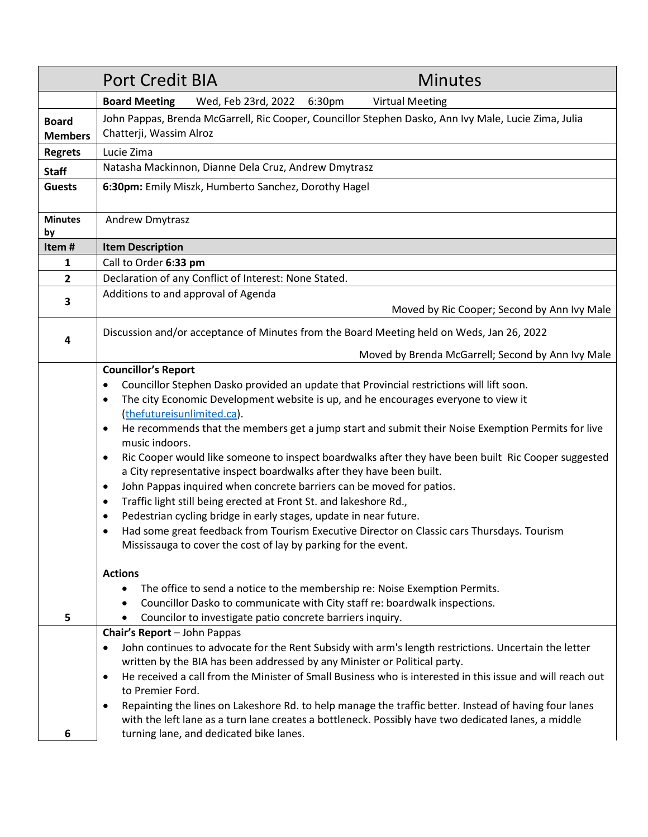|                                | <b>Port Credit BIA</b><br><b>Minutes</b>                                                                                                                                                                                                                                                                                                                                                                                                                                                                                                                                                                                                                                                                                                                                                                                                                                                                                                                                                                                                   |  |  |
|--------------------------------|--------------------------------------------------------------------------------------------------------------------------------------------------------------------------------------------------------------------------------------------------------------------------------------------------------------------------------------------------------------------------------------------------------------------------------------------------------------------------------------------------------------------------------------------------------------------------------------------------------------------------------------------------------------------------------------------------------------------------------------------------------------------------------------------------------------------------------------------------------------------------------------------------------------------------------------------------------------------------------------------------------------------------------------------|--|--|
|                                | <b>Board Meeting</b><br>Wed, Feb 23rd, 2022 6:30pm<br><b>Virtual Meeting</b>                                                                                                                                                                                                                                                                                                                                                                                                                                                                                                                                                                                                                                                                                                                                                                                                                                                                                                                                                               |  |  |
| <b>Board</b><br><b>Members</b> | John Pappas, Brenda McGarrell, Ric Cooper, Councillor Stephen Dasko, Ann Ivy Male, Lucie Zima, Julia<br>Chatterji, Wassim Alroz                                                                                                                                                                                                                                                                                                                                                                                                                                                                                                                                                                                                                                                                                                                                                                                                                                                                                                            |  |  |
| <b>Regrets</b>                 | Lucie Zima                                                                                                                                                                                                                                                                                                                                                                                                                                                                                                                                                                                                                                                                                                                                                                                                                                                                                                                                                                                                                                 |  |  |
| <b>Staff</b>                   | Natasha Mackinnon, Dianne Dela Cruz, Andrew Dmytrasz                                                                                                                                                                                                                                                                                                                                                                                                                                                                                                                                                                                                                                                                                                                                                                                                                                                                                                                                                                                       |  |  |
| <b>Guests</b>                  | 6:30pm: Emily Miszk, Humberto Sanchez, Dorothy Hagel                                                                                                                                                                                                                                                                                                                                                                                                                                                                                                                                                                                                                                                                                                                                                                                                                                                                                                                                                                                       |  |  |
| <b>Minutes</b><br>by           | <b>Andrew Dmytrasz</b>                                                                                                                                                                                                                                                                                                                                                                                                                                                                                                                                                                                                                                                                                                                                                                                                                                                                                                                                                                                                                     |  |  |
| Item#                          | <b>Item Description</b>                                                                                                                                                                                                                                                                                                                                                                                                                                                                                                                                                                                                                                                                                                                                                                                                                                                                                                                                                                                                                    |  |  |
| 1                              | Call to Order 6:33 pm                                                                                                                                                                                                                                                                                                                                                                                                                                                                                                                                                                                                                                                                                                                                                                                                                                                                                                                                                                                                                      |  |  |
| $\overline{2}$                 | Declaration of any Conflict of Interest: None Stated.                                                                                                                                                                                                                                                                                                                                                                                                                                                                                                                                                                                                                                                                                                                                                                                                                                                                                                                                                                                      |  |  |
| 3                              | Additions to and approval of Agenda                                                                                                                                                                                                                                                                                                                                                                                                                                                                                                                                                                                                                                                                                                                                                                                                                                                                                                                                                                                                        |  |  |
|                                | Moved by Ric Cooper; Second by Ann Ivy Male                                                                                                                                                                                                                                                                                                                                                                                                                                                                                                                                                                                                                                                                                                                                                                                                                                                                                                                                                                                                |  |  |
| 4                              | Discussion and/or acceptance of Minutes from the Board Meeting held on Weds, Jan 26, 2022                                                                                                                                                                                                                                                                                                                                                                                                                                                                                                                                                                                                                                                                                                                                                                                                                                                                                                                                                  |  |  |
|                                | Moved by Brenda McGarrell; Second by Ann Ivy Male                                                                                                                                                                                                                                                                                                                                                                                                                                                                                                                                                                                                                                                                                                                                                                                                                                                                                                                                                                                          |  |  |
|                                | <b>Councillor's Report</b><br>Councillor Stephen Dasko provided an update that Provincial restrictions will lift soon.<br>$\bullet$<br>The city Economic Development website is up, and he encourages everyone to view it<br>$\bullet$<br>(thefutureisunlimited.ca).<br>He recommends that the members get a jump start and submit their Noise Exemption Permits for live<br>$\bullet$<br>music indoors.<br>Ric Cooper would like someone to inspect boardwalks after they have been built Ric Cooper suggested<br>$\bullet$<br>a City representative inspect boardwalks after they have been built.<br>John Pappas inquired when concrete barriers can be moved for patios.<br>$\bullet$<br>Traffic light still being erected at Front St. and lakeshore Rd.,<br>$\bullet$<br>Pedestrian cycling bridge in early stages, update in near future.<br>$\bullet$<br>Had some great feedback from Tourism Executive Director on Classic cars Thursdays. Tourism<br>$\bullet$<br>Mississauga to cover the cost of lay by parking for the event. |  |  |
| 5                              | <b>Actions</b><br>The office to send a notice to the membership re: Noise Exemption Permits.<br>Councillor Dasko to communicate with City staff re: boardwalk inspections.<br>Councilor to investigate patio concrete barriers inquiry.<br>Chair's Report - John Pappas<br>John continues to advocate for the Rent Subsidy with arm's length restrictions. Uncertain the letter<br>$\bullet$<br>written by the BIA has been addressed by any Minister or Political party.<br>He received a call from the Minister of Small Business who is interested in this issue and will reach out<br>$\bullet$<br>to Premier Ford.<br>Repainting the lines on Lakeshore Rd. to help manage the traffic better. Instead of having four lanes<br>$\bullet$<br>with the left lane as a turn lane creates a bottleneck. Possibly have two dedicated lanes, a middle                                                                                                                                                                                       |  |  |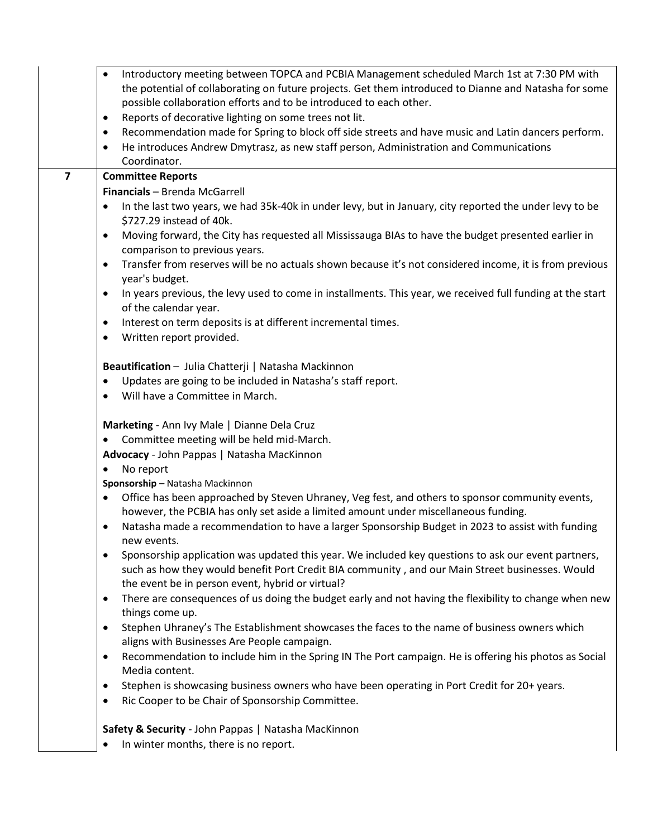|                | Introductory meeting between TOPCA and PCBIA Management scheduled March 1st at 7:30 PM with<br>the potential of collaborating on future projects. Get them introduced to Dianne and Natasha for some<br>possible collaboration efforts and to be introduced to each other. |
|----------------|----------------------------------------------------------------------------------------------------------------------------------------------------------------------------------------------------------------------------------------------------------------------------|
|                |                                                                                                                                                                                                                                                                            |
|                | Reports of decorative lighting on some trees not lit.<br>$\bullet$                                                                                                                                                                                                         |
|                | Recommendation made for Spring to block off side streets and have music and Latin dancers perform.<br>$\bullet$                                                                                                                                                            |
|                | He introduces Andrew Dmytrasz, as new staff person, Administration and Communications<br>٠<br>Coordinator.                                                                                                                                                                 |
| $\overline{7}$ |                                                                                                                                                                                                                                                                            |
|                | <b>Committee Reports</b>                                                                                                                                                                                                                                                   |
|                | Financials - Brenda McGarrell                                                                                                                                                                                                                                              |
|                | In the last two years, we had 35k-40k in under levy, but in January, city reported the under levy to be<br>$\bullet$<br>\$727.29 instead of 40k.                                                                                                                           |
|                | Moving forward, the City has requested all Mississauga BIAs to have the budget presented earlier in<br>$\bullet$<br>comparison to previous years.                                                                                                                          |
|                | Transfer from reserves will be no actuals shown because it's not considered income, it is from previous<br>$\bullet$<br>year's budget.                                                                                                                                     |
|                | In years previous, the levy used to come in installments. This year, we received full funding at the start<br>٠<br>of the calendar year.                                                                                                                                   |
|                | Interest on term deposits is at different incremental times.<br>$\bullet$                                                                                                                                                                                                  |
|                | Written report provided.<br>$\bullet$                                                                                                                                                                                                                                      |
|                | Beautification - Julia Chatterji   Natasha Mackinnon                                                                                                                                                                                                                       |
|                | Updates are going to be included in Natasha's staff report.<br>$\bullet$                                                                                                                                                                                                   |
|                | Will have a Committee in March.<br>$\bullet$                                                                                                                                                                                                                               |
|                | Marketing - Ann Ivy Male   Dianne Dela Cruz                                                                                                                                                                                                                                |
|                | Committee meeting will be held mid-March.<br>٠                                                                                                                                                                                                                             |
|                | Advocacy - John Pappas   Natasha MacKinnon                                                                                                                                                                                                                                 |
|                | No report<br>$\bullet$                                                                                                                                                                                                                                                     |
|                | Sponsorship - Natasha Mackinnon                                                                                                                                                                                                                                            |
|                | Office has been approached by Steven Uhraney, Veg fest, and others to sponsor community events,<br>$\bullet$<br>however, the PCBIA has only set aside a limited amount under miscellaneous funding.                                                                        |
|                | Natasha made a recommendation to have a larger Sponsorship Budget in 2023 to assist with funding<br>٠<br>new events.                                                                                                                                                       |
|                | Sponsorship application was updated this year. We included key questions to ask our event partners,<br>$\bullet$<br>such as how they would benefit Port Credit BIA community, and our Main Street businesses. Would<br>the event be in person event, hybrid or virtual?    |
|                | There are consequences of us doing the budget early and not having the flexibility to change when new<br>$\bullet$<br>things come up.                                                                                                                                      |
|                | Stephen Uhraney's The Establishment showcases the faces to the name of business owners which<br>٠<br>aligns with Businesses Are People campaign.                                                                                                                           |
|                | Recommendation to include him in the Spring IN The Port campaign. He is offering his photos as Social<br>$\bullet$<br>Media content.                                                                                                                                       |
|                | Stephen is showcasing business owners who have been operating in Port Credit for 20+ years.<br>$\bullet$                                                                                                                                                                   |
|                | Ric Cooper to be Chair of Sponsorship Committee.<br>$\bullet$                                                                                                                                                                                                              |
|                | Safety & Security - John Pappas   Natasha MacKinnon                                                                                                                                                                                                                        |
|                | $\bullet$ In winter months there is no renort                                                                                                                                                                                                                              |

• In winter months, there is no report.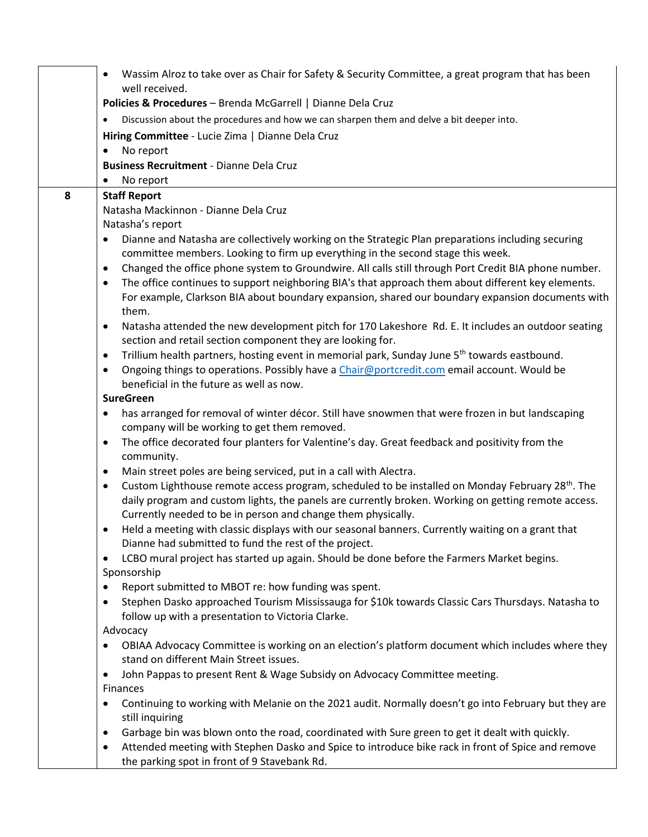|                                                                                                               | Wassim Alroz to take over as Chair for Safety & Security Committee, a great program that has been                                                                                                                            |  |  |
|---------------------------------------------------------------------------------------------------------------|------------------------------------------------------------------------------------------------------------------------------------------------------------------------------------------------------------------------------|--|--|
|                                                                                                               | well received.<br>Policies & Procedures - Brenda McGarrell   Dianne Dela Cruz                                                                                                                                                |  |  |
|                                                                                                               | Discussion about the procedures and how we can sharpen them and delve a bit deeper into.                                                                                                                                     |  |  |
|                                                                                                               |                                                                                                                                                                                                                              |  |  |
|                                                                                                               | Hiring Committee - Lucie Zima   Dianne Dela Cruz<br>No report                                                                                                                                                                |  |  |
|                                                                                                               | <b>Business Recruitment - Dianne Dela Cruz</b>                                                                                                                                                                               |  |  |
|                                                                                                               | No report<br>٠                                                                                                                                                                                                               |  |  |
| 8                                                                                                             | <b>Staff Report</b>                                                                                                                                                                                                          |  |  |
|                                                                                                               | Natasha Mackinnon - Dianne Dela Cruz                                                                                                                                                                                         |  |  |
|                                                                                                               | Natasha's report                                                                                                                                                                                                             |  |  |
| Dianne and Natasha are collectively working on the Strategic Plan preparations including securing             |                                                                                                                                                                                                                              |  |  |
|                                                                                                               | committee members. Looking to firm up everything in the second stage this week.                                                                                                                                              |  |  |
| Changed the office phone system to Groundwire. All calls still through Port Credit BIA phone number.<br>٠     |                                                                                                                                                                                                                              |  |  |
|                                                                                                               | The office continues to support neighboring BIA's that approach them about different key elements.<br>$\bullet$<br>For example, Clarkson BIA about boundary expansion, shared our boundary expansion documents with<br>them. |  |  |
|                                                                                                               | Natasha attended the new development pitch for 170 Lakeshore Rd. E. It includes an outdoor seating<br>$\bullet$                                                                                                              |  |  |
|                                                                                                               | section and retail section component they are looking for.                                                                                                                                                                   |  |  |
| Trillium health partners, hosting event in memorial park, Sunday June 5 <sup>th</sup> towards eastbound.<br>٠ |                                                                                                                                                                                                                              |  |  |
|                                                                                                               | Ongoing things to operations. Possibly have a Chair@portcredit.com email account. Would be<br>$\bullet$                                                                                                                      |  |  |
|                                                                                                               | beneficial in the future as well as now.                                                                                                                                                                                     |  |  |
|                                                                                                               | <b>SureGreen</b>                                                                                                                                                                                                             |  |  |
|                                                                                                               | has arranged for removal of winter décor. Still have snowmen that were frozen in but landscaping                                                                                                                             |  |  |
|                                                                                                               | company will be working to get them removed.                                                                                                                                                                                 |  |  |
|                                                                                                               | The office decorated four planters for Valentine's day. Great feedback and positivity from the<br>$\bullet$<br>community.                                                                                                    |  |  |
|                                                                                                               | Main street poles are being serviced, put in a call with Alectra.<br>$\bullet$                                                                                                                                               |  |  |
|                                                                                                               | Custom Lighthouse remote access program, scheduled to be installed on Monday February 28 <sup>th</sup> . The<br>$\bullet$                                                                                                    |  |  |
|                                                                                                               | daily program and custom lights, the panels are currently broken. Working on getting remote access.<br>Currently needed to be in person and change them physically.                                                          |  |  |
|                                                                                                               | Held a meeting with classic displays with our seasonal banners. Currently waiting on a grant that<br>$\bullet$                                                                                                               |  |  |
|                                                                                                               | Dianne had submitted to fund the rest of the project.                                                                                                                                                                        |  |  |
|                                                                                                               | LCBO mural project has started up again. Should be done before the Farmers Market begins.<br>$\bullet$                                                                                                                       |  |  |
|                                                                                                               | Sponsorship                                                                                                                                                                                                                  |  |  |
|                                                                                                               | Report submitted to MBOT re: how funding was spent.<br>$\bullet$                                                                                                                                                             |  |  |
|                                                                                                               | Stephen Dasko approached Tourism Mississauga for \$10k towards Classic Cars Thursdays. Natasha to                                                                                                                            |  |  |
| follow up with a presentation to Victoria Clarke.                                                             |                                                                                                                                                                                                                              |  |  |
| Advocacy<br>OBIAA Advocacy Committee is working on an election's platform document which includes where they  |                                                                                                                                                                                                                              |  |  |
|                                                                                                               | stand on different Main Street issues.                                                                                                                                                                                       |  |  |
|                                                                                                               | John Pappas to present Rent & Wage Subsidy on Advocacy Committee meeting.<br>$\bullet$                                                                                                                                       |  |  |
|                                                                                                               | <b>Finances</b><br>Continuing to working with Melanie on the 2021 audit. Normally doesn't go into February but they are                                                                                                      |  |  |
|                                                                                                               | still inquiring                                                                                                                                                                                                              |  |  |
|                                                                                                               | Garbage bin was blown onto the road, coordinated with Sure green to get it dealt with quickly.<br>٠                                                                                                                          |  |  |
|                                                                                                               | Attended meeting with Stephen Dasko and Spice to introduce bike rack in front of Spice and remove<br>٠<br>the parking spot in front of 9 Stavebank Rd.                                                                       |  |  |
|                                                                                                               |                                                                                                                                                                                                                              |  |  |